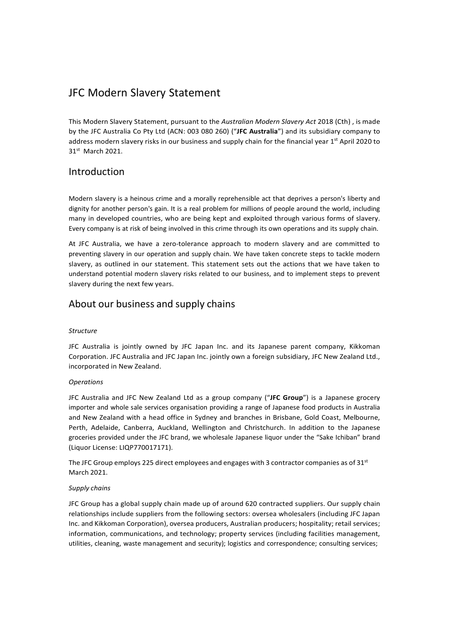# JFC Modern Slavery Statement

This Modern Slavery Statement, pursuant to the Australian Modern Slavery Act 2018 (Cth), is made by the JFC Australia Co Pty Ltd (ACN: 003 080 260) ("JFC Australia") and its subsidiary company to address modern slavery risks in our business and supply chain for the financial year 1<sup>st</sup> April 2020 to 31st March 2021.

# Introduction

Modern slavery is a heinous crime and a morally reprehensible act that deprives a person's liberty and dignity for another person's gain. It is a real problem for millions of people around the world, including many in developed countries, who are being kept and exploited through various forms of slavery. Every company is at risk of being involved in this crime through its own operations and its supply chain.

At JFC Australia, we have a zero-tolerance approach to modern slavery and are committed to preventing slavery in our operation and supply chain. We have taken concrete steps to tackle modern slavery, as outlined in our statement. This statement sets out the actions that we have taken to understand potential modern slavery risks related to our business, and to implement steps to prevent slavery during the next few years.

# About our business and supply chains

### Structure

JFC Australia is jointly owned by JFC Japan Inc. and its Japanese parent company, Kikkoman Corporation. JFC Australia and JFC Japan Inc. jointly own a foreign subsidiary, JFC New Zealand Ltd., incorporated in New Zealand.

### **Operations**

JFC Australia and JFC New Zealand Ltd as a group company ("JFC Group") is a Japanese grocery importer and whole sale services organisation providing a range of Japanese food products in Australia and New Zealand with a head office in Sydney and branches in Brisbane, Gold Coast, Melbourne, Perth, Adelaide, Canberra, Auckland, Wellington and Christchurch. In addition to the Japanese groceries provided under the JFC brand, we wholesale Japanese liquor under the "Sake Ichiban" brand (Liquor License: LIQP770017171).

The JFC Group employs 225 direct employees and engages with 3 contractor companies as of  $31<sup>st</sup>$ March 2021.

### Supply chains

JFC Group has a global supply chain made up of around 620 contracted suppliers. Our supply chain relationships include suppliers from the following sectors: oversea wholesalers (including JFC Japan Inc. and Kikkoman Corporation), oversea producers, Australian producers; hospitality; retail services; information, communications, and technology; property services (including facilities management, utilities, cleaning, waste management and security); logistics and correspondence; consulting services;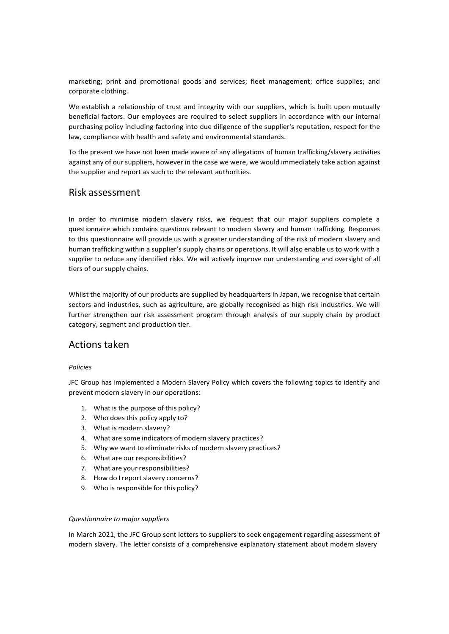marketing; print and promotional goods and services; fleet management; office supplies; and corporate clothing.

We establish a relationship of trust and integrity with our suppliers, which is built upon mutually beneficial factors. Our employees are required to select suppliers in accordance with our internal purchasing policy including factoring into due diligence of the supplier's reputation, respect for the law, compliance with health and safety and environmental standards.

To the present we have not been made aware of any allegations of human trafficking/slavery activities against any of our suppliers, however in the case we were, we would immediately take action against the supplier and report as such to the relevant authorities.

### Risk assessment

In order to minimise modern slavery risks, we request that our major suppliers complete a questionnaire which contains questions relevant to modern slavery and human trafficking. Responses to this questionnaire will provide us with a greater understanding of the risk of modern slavery and human trafficking within a supplier's supply chains or operations. It will also enable us to work with a supplier to reduce any identified risks. We will actively improve our understanding and oversight of all tiers of our supply chains.

Whilst the majority of our products are supplied by headquarters in Japan, we recognise that certain sectors and industries, such as agriculture, are globally recognised as high risk industries. We will further strengthen our risk assessment program through analysis of our supply chain by product category, segment and production tier.

# Actions taken

### Policies

JFC Group has implemented a Modern Slavery Policy which covers the following topics to identify and prevent modern slavery in our operations:

- 1. What is the purpose of this policy?
- 2. Who does this policy apply to?
- 3. What is modern slavery?
- 4. What are some indicators of modern slavery practices?
- 5. Why we want to eliminate risks of modern slavery practices?
- 6. What are our responsibilities?
- 7. What are your responsibilities?
- 8. How do I report slavery concerns?
- 9. Who is responsible for this policy?

### Questionnaire to major suppliers

In March 2021, the JFC Group sent letters to suppliers to seek engagement regarding assessment of modern slavery. The letter consists of a comprehensive explanatory statement about modern slavery